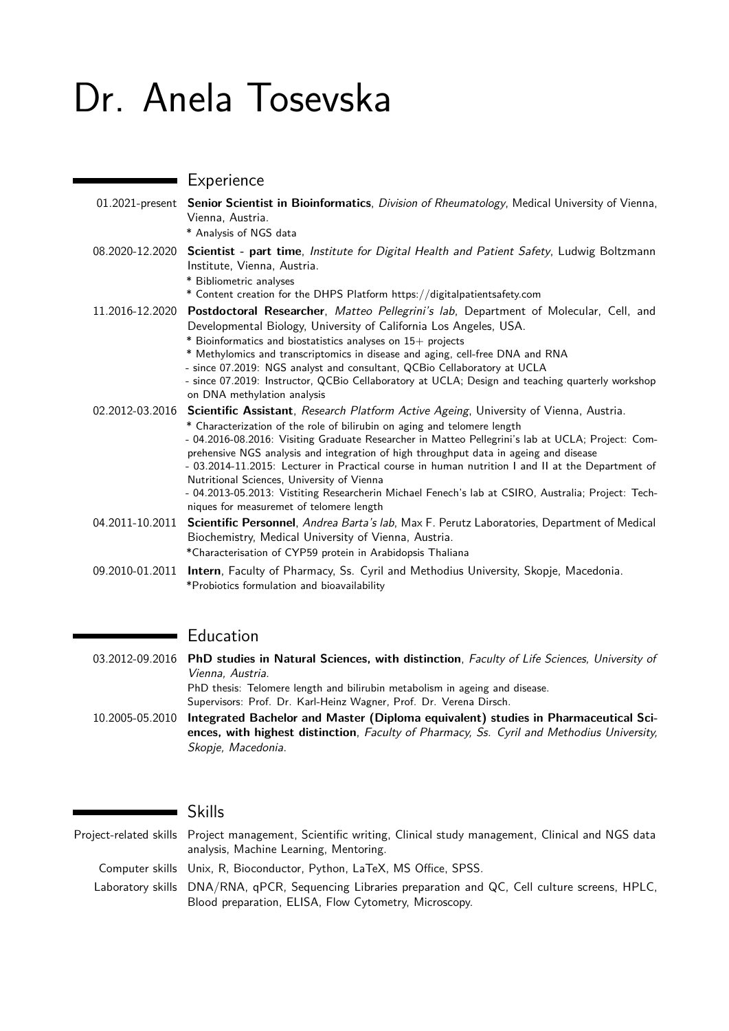# Dr. Anela Tosevska

|                 | Experience                                                                                                                                                                                                                                                                                                                                                                                                                                                                                                                                                                                                                                                          |
|-----------------|---------------------------------------------------------------------------------------------------------------------------------------------------------------------------------------------------------------------------------------------------------------------------------------------------------------------------------------------------------------------------------------------------------------------------------------------------------------------------------------------------------------------------------------------------------------------------------------------------------------------------------------------------------------------|
|                 | 01.2021-present Senior Scientist in Bioinformatics, Division of Rheumatology, Medical University of Vienna,<br>Vienna, Austria.<br>* Analysis of NGS data                                                                                                                                                                                                                                                                                                                                                                                                                                                                                                           |
| 08.2020-12.2020 | Scientist - part time, Institute for Digital Health and Patient Safety, Ludwig Boltzmann<br>Institute, Vienna, Austria.<br>* Bibliometric analyses<br>* Content creation for the DHPS Platform https://digitalpatientsafety.com                                                                                                                                                                                                                                                                                                                                                                                                                                     |
| 11.2016-12.2020 | Postdoctoral Researcher, Matteo Pellegrini's lab, Department of Molecular, Cell, and<br>Developmental Biology, University of California Los Angeles, USA.<br>* Bioinformatics and biostatistics analyses on 15+ projects<br>* Methylomics and transcriptomics in disease and aging, cell-free DNA and RNA<br>- since 07.2019: NGS analyst and consultant, QCBio Cellaboratory at UCLA<br>- since 07.2019: Instructor, QCBio Cellaboratory at UCLA; Design and teaching quarterly workshop<br>on DNA methylation analysis                                                                                                                                            |
| 02.2012-03.2016 | Scientific Assistant, Research Platform Active Ageing, University of Vienna, Austria.<br>* Characterization of the role of bilirubin on aging and telomere length<br>- 04.2016-08.2016: Visiting Graduate Researcher in Matteo Pellegrini's lab at UCLA; Project: Com-<br>prehensive NGS analysis and integration of high throughput data in ageing and disease<br>- 03.2014-11.2015: Lecturer in Practical course in human nutrition I and II at the Department of<br>Nutritional Sciences, University of Vienna<br>- 04.2013-05.2013: Vistiting Researcherin Michael Fenech's lab at CSIRO, Australia; Project: Tech-<br>niques for measuremet of telomere length |
| 04.2011-10.2011 | Scientific Personnel, Andrea Barta's lab, Max F. Perutz Laboratories, Department of Medical<br>Biochemistry, Medical University of Vienna, Austria.<br>*Characterisation of CYP59 protein in Arabidopsis Thaliana                                                                                                                                                                                                                                                                                                                                                                                                                                                   |
| 09.2010-01.2011 | Intern, Faculty of Pharmacy, Ss. Cyril and Methodius University, Skopje, Macedonia.<br>*Probiotics formulation and bioavailability                                                                                                                                                                                                                                                                                                                                                                                                                                                                                                                                  |

# Education

03.2012-09.2016 **PhD studies in Natural Sciences, with distinction**, Faculty of Life Sciences, University of Vienna, Austria. PhD thesis: Telomere length and bilirubin metabolism in ageing and disease. Supervisors: Prof. Dr. Karl-Heinz Wagner, Prof. Dr. Verena Dirsch.

10.2005-05.2010 **Integrated Bachelor and Master (Diploma equivalent) studies in Pharmaceutical Sciences, with highest distinction**, Faculty of Pharmacy, Ss. Cyril and Methodius University, Skopje, Macedonia.

#### Skills

Project-related skills Project management, Scientific writing, Clinical study management, Clinical and NGS data analysis, Machine Learning, Mentoring.

Computer skills Unix, R, Bioconductor, Python, LaTeX, MS Office, SPSS.

Laboratory skills DNA/RNA, qPCR, Sequencing Libraries preparation and QC, Cell culture screens, HPLC, Blood preparation, ELISA, Flow Cytometry, Microscopy.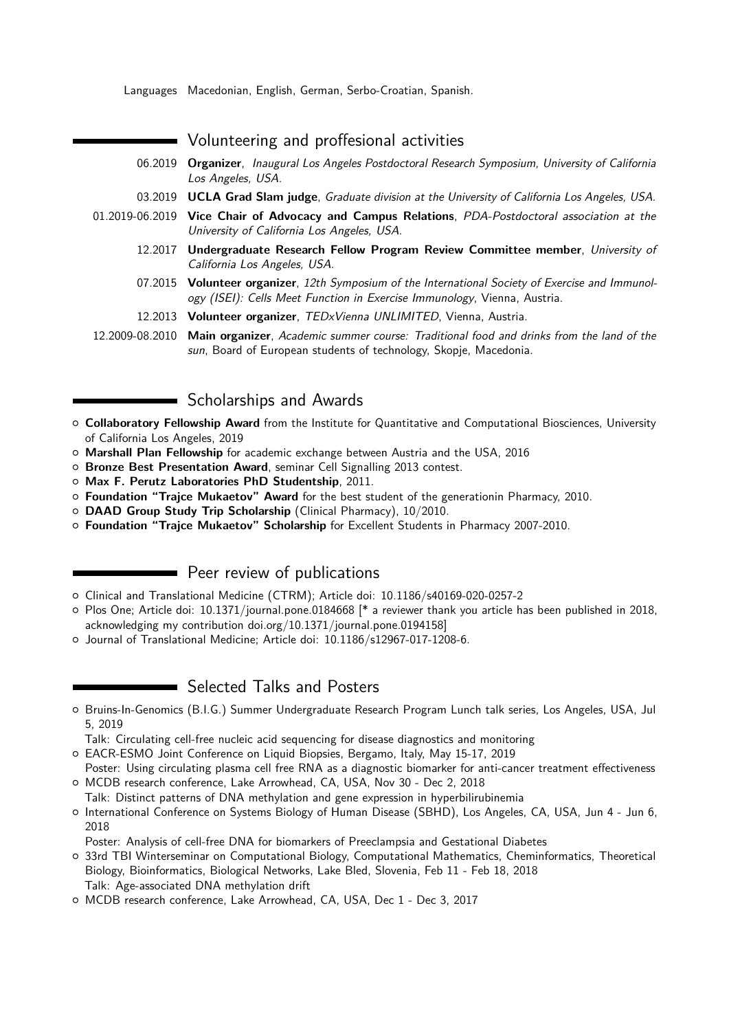Languages Macedonian, English, German, Serbo-Croatian, Spanish.

| Volunteering and proffesional activities                                                                                                                                      |
|-------------------------------------------------------------------------------------------------------------------------------------------------------------------------------|
| 06.2019 Organizer, Inaugural Los Angeles Postdoctoral Research Symposium, University of California<br>Los Angeles, USA.                                                       |
| 03.2019 UCLA Grad Slam judge, Graduate division at the University of California Los Angeles, USA.                                                                             |
| 01.2019-06.2019 Vice Chair of Advocacy and Campus Relations, PDA-Postdoctoral association at the<br>University of California Los Angeles, USA.                                |
| 12.2017 Undergraduate Research Fellow Program Review Committee member, University of<br>California Los Angeles, USA.                                                          |
| 07.2015 Volunteer organizer, 12th Symposium of the International Society of Exercise and Immunol-<br>ogy (ISEI): Cells Meet Function in Exercise Immunology, Vienna, Austria. |
| 12.2013 Volunteer organizer, TEDxVienna UNLIMITED, Vienna, Austria.                                                                                                           |
| 12.2009-08.2010 Main organizer, Academic summer course: Traditional food and drinks from the land of the<br>sun, Board of European students of technology, Skopje, Macedonia. |

#### Scholarships and Awards

- { **Collaboratory Fellowship Award** from the Institute for Quantitative and Computational Biosciences, University of California Los Angeles, 2019
- { **Marshall Plan Fellowship** for academic exchange between Austria and the USA, 2016
- { **Bronze Best Presentation Award**, seminar Cell Signalling 2013 contest.
- { **Max F. Perutz Laboratories PhD Studentship**, 2011.
- { **Foundation "Trajce Mukaetov" Award** for the best student of the generationin Pharmacy, 2010.
- { **DAAD Group Study Trip Scholarship** (Clinical Pharmacy), 10/2010.
- { **Foundation "Trajce Mukaetov" Scholarship** for Excellent Students in Pharmacy 2007-2010.

### **Peer review of publications**

- { Clinical and Translational Medicine (CTRM); Article doi: 10.1186/s40169-020-0257-2
- { Plos One; Article doi: 10.1371/journal.pone.0184668 [\* a reviewer thank you article has been published in 2018, acknowledging my contribution doi.org/10.1371/journal.pone.0194158]
- { Journal of Translational Medicine; Article doi: 10.1186/s12967-017-1208-6.

# **Selected Talks and Posters**

{ Bruins-In-Genomics (B.I.G.) Summer Undergraduate Research Program Lunch talk series, Los Angeles, USA, Jul 5, 2019

Talk: Circulating cell-free nucleic acid sequencing for disease diagnostics and monitoring

{ EACR-ESMO Joint Conference on Liquid Biopsies, Bergamo, Italy, May 15-17, 2019

Poster: Using circulating plasma cell free RNA as a diagnostic biomarker for anti-cancer treatment effectiveness { MCDB research conference, Lake Arrowhead, CA, USA, Nov 30 - Dec 2, 2018

Talk: Distinct patterns of DNA methylation and gene expression in hyperbilirubinemia

{ International Conference on Systems Biology of Human Disease (SBHD), Los Angeles, CA, USA, Jun 4 - Jun 6, 2018

Poster: Analysis of cell-free DNA for biomarkers of Preeclampsia and Gestational Diabetes

{ 33rd TBI Winterseminar on Computational Biology, Computational Mathematics, Cheminformatics, Theoretical Biology, Bioinformatics, Biological Networks, Lake Bled, Slovenia, Feb 11 - Feb 18, 2018 Talk: Age-associated DNA methylation drift

{ MCDB research conference, Lake Arrowhead, CA, USA, Dec 1 - Dec 3, 2017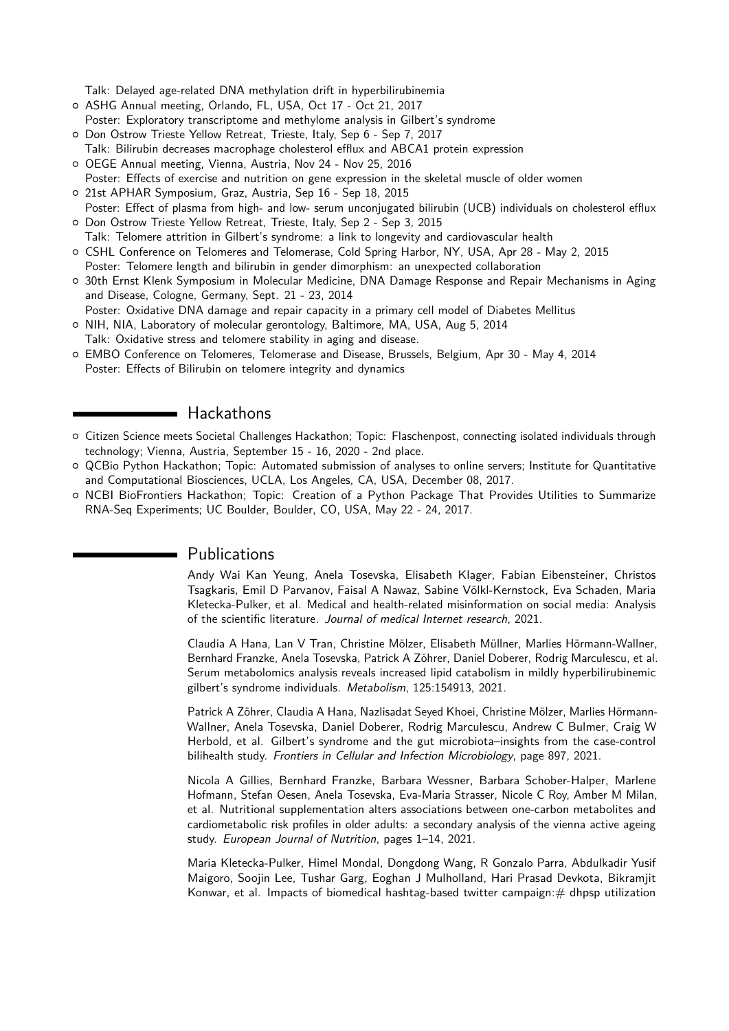Talk: Delayed age-related DNA methylation drift in hyperbilirubinemia

- { ASHG Annual meeting, Orlando, FL, USA, Oct 17 Oct 21, 2017 Poster: Exploratory transcriptome and methylome analysis in Gilbert's syndrome
- { Don Ostrow Trieste Yellow Retreat, Trieste, Italy, Sep 6 Sep 7, 2017
- Talk: Bilirubin decreases macrophage cholesterol efflux and ABCA1 protein expression
- { OEGE Annual meeting, Vienna, Austria, Nov 24 Nov 25, 2016
- Poster: Effects of exercise and nutrition on gene expression in the skeletal muscle of older women
- { 21st APHAR Symposium, Graz, Austria, Sep 16 Sep 18, 2015
- Poster: Effect of plasma from high- and low- serum unconjugated bilirubin (UCB) individuals on cholesterol efflux { Don Ostrow Trieste Yellow Retreat, Trieste, Italy, Sep 2 - Sep 3, 2015
- Talk: Telomere attrition in Gilbert's syndrome: a link to longevity and cardiovascular health
- { CSHL Conference on Telomeres and Telomerase, Cold Spring Harbor, NY, USA, Apr 28 May 2, 2015
- Poster: Telomere length and bilirubin in gender dimorphism: an unexpected collaboration
- { 30th Ernst Klenk Symposium in Molecular Medicine, DNA Damage Response and Repair Mechanisms in Aging and Disease, Cologne, Germany, Sept. 21 - 23, 2014
- Poster: Oxidative DNA damage and repair capacity in a primary cell model of Diabetes Mellitus
- { NIH, NIA, Laboratory of molecular gerontology, Baltimore, MA, USA, Aug 5, 2014 Talk: Oxidative stress and telomere stability in aging and disease.
- { EMBO Conference on Telomeres, Telomerase and Disease, Brussels, Belgium, Apr 30 May 4, 2014 Poster: Effects of Bilirubin on telomere integrity and dynamics

#### Hackathons

- { Citizen Science meets Societal Challenges Hackathon; Topic: Flaschenpost, connecting isolated individuals through technology; Vienna, Austria, September 15 - 16, 2020 - 2nd place.
- { QCBio Python Hackathon; Topic: Automated submission of analyses to online servers; Institute for Quantitative and Computational Biosciences, UCLA, Los Angeles, CA, USA, December 08, 2017.
- { NCBI BioFrontiers Hackathon; Topic: Creation of a Python Package That Provides Utilities to Summarize RNA-Seq Experiments; UC Boulder, Boulder, CO, USA, May 22 - 24, 2017.

# Publications

Andy Wai Kan Yeung, Anela Tosevska, Elisabeth Klager, Fabian Eibensteiner, Christos Tsagkaris, Emil D Parvanov, Faisal A Nawaz, Sabine Völkl-Kernstock, Eva Schaden, Maria Kletecka-Pulker, et al. Medical and health-related misinformation on social media: Analysis of the scientific literature. Journal of medical Internet research, 2021.

Claudia A Hana, Lan V Tran, Christine Mölzer, Elisabeth Müllner, Marlies Hörmann-Wallner, Bernhard Franzke, Anela Tosevska, Patrick A Zöhrer, Daniel Doberer, Rodrig Marculescu, et al. Serum metabolomics analysis reveals increased lipid catabolism in mildly hyperbilirubinemic gilbert's syndrome individuals. Metabolism, 125:154913, 2021.

Patrick A Zöhrer, Claudia A Hana, Nazlisadat Seyed Khoei, Christine Mölzer, Marlies Hörmann-Wallner, Anela Tosevska, Daniel Doberer, Rodrig Marculescu, Andrew C Bulmer, Craig W Herbold, et al. Gilbert's syndrome and the gut microbiota–insights from the case-control bilihealth study. Frontiers in Cellular and Infection Microbiology, page 897, 2021.

Nicola A Gillies, Bernhard Franzke, Barbara Wessner, Barbara Schober-Halper, Marlene Hofmann, Stefan Oesen, Anela Tosevska, Eva-Maria Strasser, Nicole C Roy, Amber M Milan, et al. Nutritional supplementation alters associations between one-carbon metabolites and cardiometabolic risk profiles in older adults: a secondary analysis of the vienna active ageing study. European Journal of Nutrition, pages 1–14, 2021.

Maria Kletecka-Pulker, Himel Mondal, Dongdong Wang, R Gonzalo Parra, Abdulkadir Yusif Maigoro, Soojin Lee, Tushar Garg, Eoghan J Mulholland, Hari Prasad Devkota, Bikramjit Konwar, et al. Impacts of biomedical hashtag-based twitter campaign: $#$  dhpsp utilization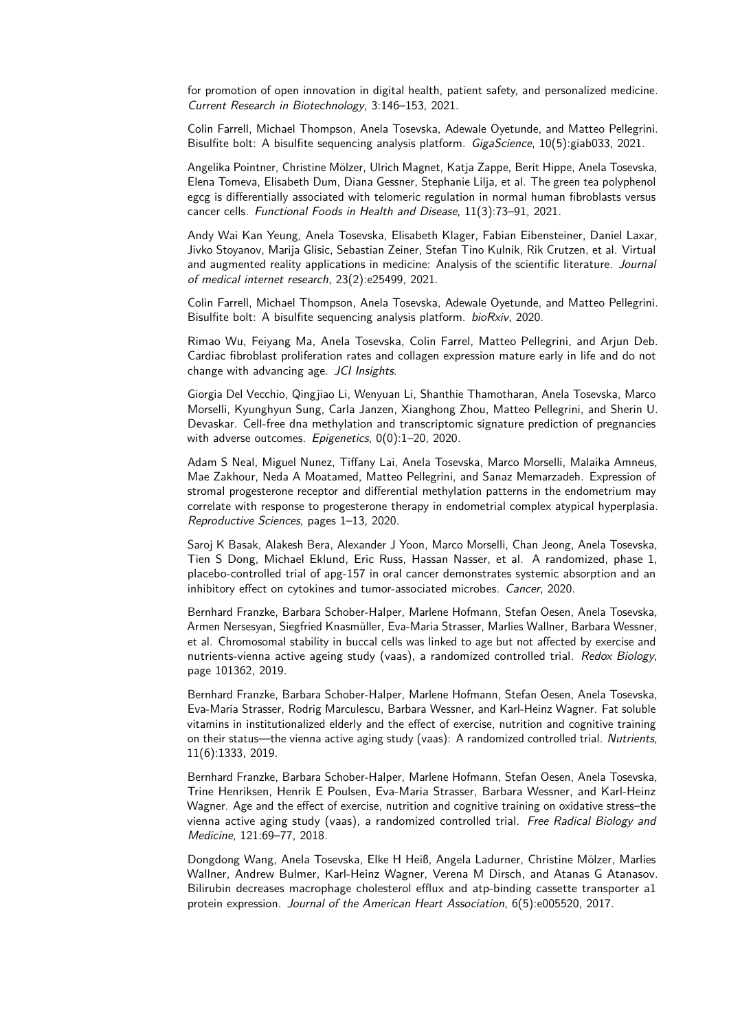for promotion of open innovation in digital health, patient safety, and personalized medicine. Current Research in Biotechnology, 3:146–153, 2021.

Colin Farrell, Michael Thompson, Anela Tosevska, Adewale Oyetunde, and Matteo Pellegrini. Bisulfite bolt: A bisulfite sequencing analysis platform. *GigaScience*, 10(5):giab033, 2021.

Angelika Pointner, Christine Mölzer, Ulrich Magnet, Katja Zappe, Berit Hippe, Anela Tosevska, Elena Tomeva, Elisabeth Dum, Diana Gessner, Stephanie Lilja, et al. The green tea polyphenol egcg is differentially associated with telomeric regulation in normal human fibroblasts versus cancer cells. Functional Foods in Health and Disease, 11(3):73–91, 2021.

Andy Wai Kan Yeung, Anela Tosevska, Elisabeth Klager, Fabian Eibensteiner, Daniel Laxar, Jivko Stoyanov, Marija Glisic, Sebastian Zeiner, Stefan Tino Kulnik, Rik Crutzen, et al. Virtual and augmented reality applications in medicine: Analysis of the scientific literature. Journal of medical internet research, 23(2):e25499, 2021.

Colin Farrell, Michael Thompson, Anela Tosevska, Adewale Oyetunde, and Matteo Pellegrini. Bisulfite bolt: A bisulfite sequencing analysis platform. bioRxiv, 2020.

Rimao Wu, Feiyang Ma, Anela Tosevska, Colin Farrel, Matteo Pellegrini, and Arjun Deb. Cardiac fibroblast proliferation rates and collagen expression mature early in life and do not change with advancing age. JCI Insights.

Giorgia Del Vecchio, Qingjiao Li, Wenyuan Li, Shanthie Thamotharan, Anela Tosevska, Marco Morselli, Kyunghyun Sung, Carla Janzen, Xianghong Zhou, Matteo Pellegrini, and Sherin U. Devaskar. Cell-free dna methylation and transcriptomic signature prediction of pregnancies with adverse outcomes. Epigenetics, 0(0):1-20, 2020.

Adam S Neal, Miguel Nunez, Tiffany Lai, Anela Tosevska, Marco Morselli, Malaika Amneus, Mae Zakhour, Neda A Moatamed, Matteo Pellegrini, and Sanaz Memarzadeh. Expression of stromal progesterone receptor and differential methylation patterns in the endometrium may correlate with response to progesterone therapy in endometrial complex atypical hyperplasia. Reproductive Sciences, pages 1–13, 2020.

Saroj K Basak, Alakesh Bera, Alexander J Yoon, Marco Morselli, Chan Jeong, Anela Tosevska, Tien S Dong, Michael Eklund, Eric Russ, Hassan Nasser, et al. A randomized, phase 1, placebo-controlled trial of apg-157 in oral cancer demonstrates systemic absorption and an inhibitory effect on cytokines and tumor-associated microbes. Cancer, 2020.

Bernhard Franzke, Barbara Schober-Halper, Marlene Hofmann, Stefan Oesen, Anela Tosevska, Armen Nersesyan, Siegfried Knasmüller, Eva-Maria Strasser, Marlies Wallner, Barbara Wessner, et al. Chromosomal stability in buccal cells was linked to age but not affected by exercise and nutrients-vienna active ageing study (vaas), a randomized controlled trial. Redox Biology, page 101362, 2019.

Bernhard Franzke, Barbara Schober-Halper, Marlene Hofmann, Stefan Oesen, Anela Tosevska, Eva-Maria Strasser, Rodrig Marculescu, Barbara Wessner, and Karl-Heinz Wagner. Fat soluble vitamins in institutionalized elderly and the effect of exercise, nutrition and cognitive training on their status—the vienna active aging study (vaas): A randomized controlled trial. Nutrients, 11(6):1333, 2019.

Bernhard Franzke, Barbara Schober-Halper, Marlene Hofmann, Stefan Oesen, Anela Tosevska, Trine Henriksen, Henrik E Poulsen, Eva-Maria Strasser, Barbara Wessner, and Karl-Heinz Wagner. Age and the effect of exercise, nutrition and cognitive training on oxidative stress–the vienna active aging study (vaas), a randomized controlled trial. Free Radical Biology and Medicine, 121:69–77, 2018.

Dongdong Wang, Anela Tosevska, Elke H Heiß, Angela Ladurner, Christine Mölzer, Marlies Wallner, Andrew Bulmer, Karl-Heinz Wagner, Verena M Dirsch, and Atanas G Atanasov. Bilirubin decreases macrophage cholesterol efflux and atp-binding cassette transporter a1 protein expression. Journal of the American Heart Association, 6(5):e005520, 2017.